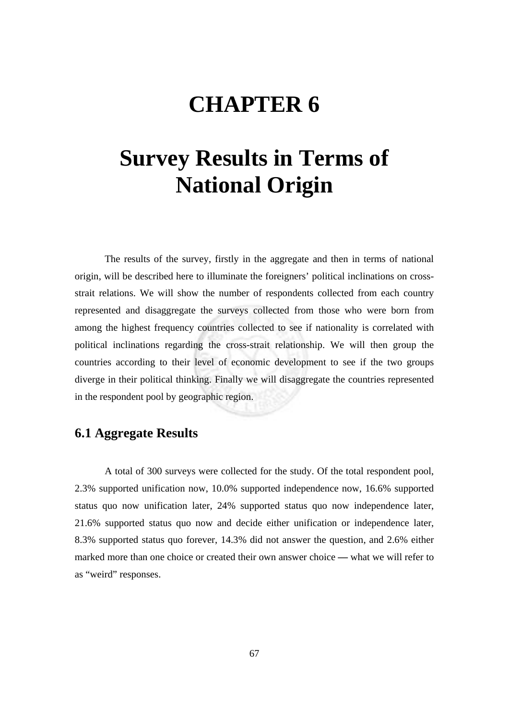## **CHAPTER 6**

# **Survey Results in Terms of National Origin**

 The results of the survey, firstly in the aggregate and then in terms of national origin, will be described here to illuminate the foreigners' political inclinations on crossstrait relations. We will show the number of respondents collected from each country represented and disaggregate the surveys collected from those who were born from among the highest frequency countries collected to see if nationality is correlated with political inclinations regarding the cross-strait relationship. We will then group the countries according to their level of economic development to see if the two groups diverge in their political thinking. Finally we will disaggregate the countries represented in the respondent pool by geographic region.

### **6.1 Aggregate Results**

A total of 300 surveys were collected for the study. Of the total respondent pool, 2.3% supported unification now, 10.0% supported independence now, 16.6% supported status quo now unification later, 24% supported status quo now independence later, 21.6% supported status quo now and decide either unification or independence later, 8.3% supported status quo forever, 14.3% did not answer the question, and 2.6% either marked more than one choice or created their own answer choice **—** what we will refer to as "weird" responses.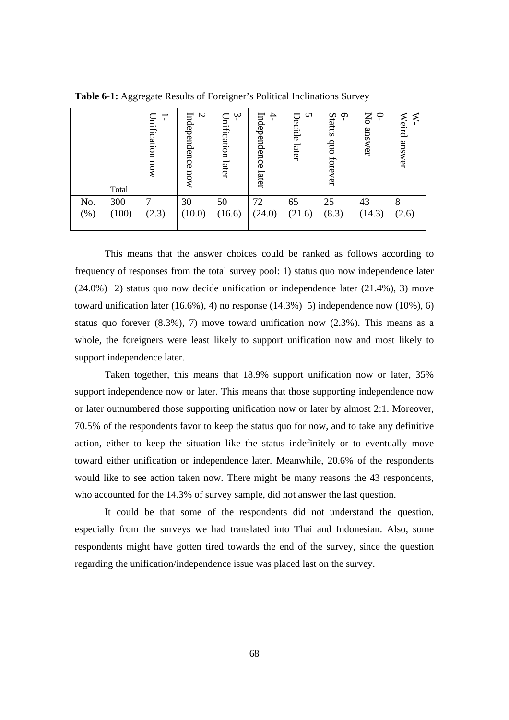|        | Total | Inification<br>now | Ņ<br>Independence<br>now | $\gamma$<br>Unification<br>later | Ļ<br>Independence<br>later | Ų١<br>⊟<br>Decide<br>later | Status<br>Ó<br>$\sin$<br>forever | P<br>Ķ<br>answer | Weird<br>answer |
|--------|-------|--------------------|--------------------------|----------------------------------|----------------------------|----------------------------|----------------------------------|------------------|-----------------|
| No.    | 300   | ┑                  | 30                       | 50                               | 72                         | 65                         | 25                               | 43               | 8               |
| $(\%)$ | (100) | (2.3)              | (10.0)                   | (16.6)                           | (24.0)                     | (21.6)                     | (8.3)                            | (14.3)           | (2.6)           |

**Table 6-1:** Aggregate Results of Foreigner's Political Inclinations Survey

This means that the answer choices could be ranked as follows according to frequency of responses from the total survey pool: 1) status quo now independence later (24.0%) 2) status quo now decide unification or independence later (21.4%), 3) move toward unification later  $(16.6\%)$ , 4) no response  $(14.3\%)$  5) independence now  $(10\%)$ , 6) status quo forever (8.3%), 7) move toward unification now (2.3%). This means as a whole, the foreigners were least likely to support unification now and most likely to support independence later.

Taken together, this means that 18.9% support unification now or later, 35% support independence now or later. This means that those supporting independence now or later outnumbered those supporting unification now or later by almost 2:1. Moreover, 70.5% of the respondents favor to keep the status quo for now, and to take any definitive action, either to keep the situation like the status indefinitely or to eventually move toward either unification or independence later. Meanwhile, 20.6% of the respondents would like to see action taken now. There might be many reasons the 43 respondents, who accounted for the 14.3% of survey sample, did not answer the last question.

It could be that some of the respondents did not understand the question, especially from the surveys we had translated into Thai and Indonesian. Also, some respondents might have gotten tired towards the end of the survey, since the question regarding the unification/independence issue was placed last on the survey.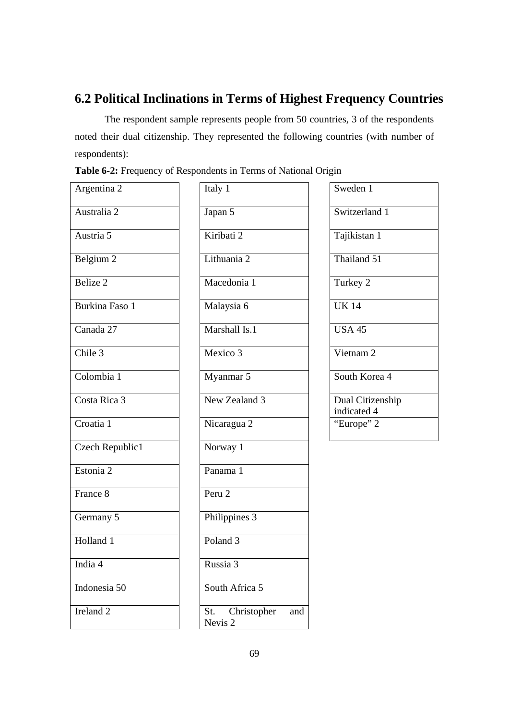## **6.2 Political Inclinations in Terms of Highest Frequency Countries**

The respondent sample represents people from 50 countries, 3 of the respondents noted their dual citizenship. They represented the following countries (with number of respondents):

| Table 6-2: Frequency of Respondents in Terms of National Origin |  |  |  |  |  |  |  |
|-----------------------------------------------------------------|--|--|--|--|--|--|--|
|-----------------------------------------------------------------|--|--|--|--|--|--|--|

| Argentina 2          |
|----------------------|
| Australia 2          |
| Austria 5            |
| Belgium 2            |
| Belize <sub>2</sub>  |
| Burkina Faso 1       |
| Canada 27            |
| Chile 3              |
| Colombia 1           |
| Costa Rica 3         |
| Croatia 1            |
| Czech Republic1      |
| Estonia 2            |
| France 8             |
| Germany 5            |
| Holland 1            |
| India 4              |
| Indonesia 50         |
| Ireland <sub>2</sub> |

| Italy 1                       |     |
|-------------------------------|-----|
| Japan 5                       |     |
| Kiribati 2                    |     |
| Lithuania 2                   |     |
| Macedonia 1                   |     |
| Malaysia 6                    |     |
| Marshall Is.1                 |     |
| Mexico 3                      |     |
| Myanmar 5                     |     |
| New Zealand 3                 |     |
| Nicaragua 2                   |     |
| Norway 1                      |     |
| Panama 1                      |     |
| Peru 2                        |     |
| Philippines 3                 |     |
| Poland <sub>3</sub>           |     |
| Russia 3                      |     |
| South Africa 5                |     |
| Christopher<br>St.<br>Nevis 2 | and |
|                               |     |

| Sweden 1             |
|----------------------|
| Switzerland 1        |
| Tajikistan 1         |
| Thailand 51          |
| Turkey 2             |
| <b>UK14</b>          |
| <b>USA 45</b>        |
| Vietnam <sub>2</sub> |
| South Korea 4        |
| Dual Citizenship     |
| indicated 4          |
| "Europe" 2           |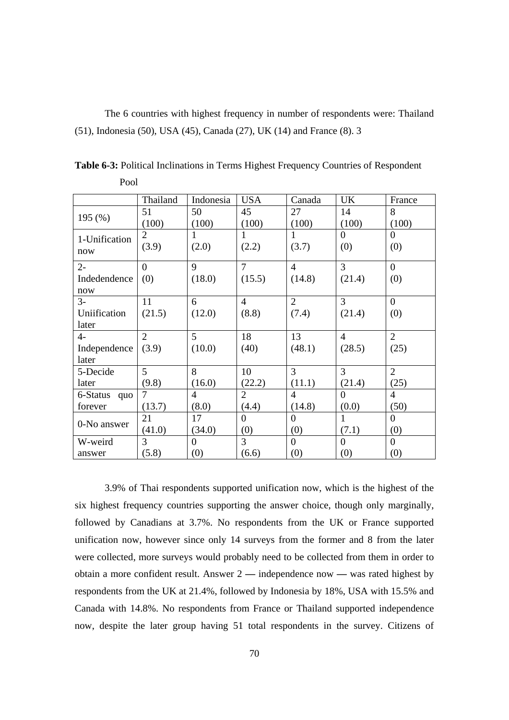The 6 countries with highest frequency in number of respondents were: Thailand (51), Indonesia (50), USA (45), Canada (27), UK (14) and France (8). 3

|               | Thailand       | Indonesia      | <b>USA</b>     | Canada         | <b>UK</b>      | France           |
|---------------|----------------|----------------|----------------|----------------|----------------|------------------|
|               | 51             | 50             | 45             | 27             | 14             | 8                |
| 195(%)        | (100)          | (100)          | (100)          | (100)          | (100)          | (100)            |
| 1-Unification | 2              | 1              | 1              | 1              | $\Omega$       | $\Omega$         |
| now           | (3.9)          | (2.0)          | (2.2)          | (3.7)          | (0)            | (0)              |
| $2-$          | $\theta$       | 9              | $\overline{7}$ | $\overline{4}$ | 3              | $\Omega$         |
| Indedendence  | (0)            | (18.0)         | (15.5)         | (14.8)         | (21.4)         | (0)              |
| now           |                |                |                |                |                |                  |
| $3-$          | 11             | 6              | $\overline{4}$ | $\overline{2}$ | 3              | $\overline{0}$   |
| Uniification  | (21.5)         | (12.0)         | (8.8)          | (7.4)          | (21.4)         | (0)              |
| later         |                |                |                |                |                |                  |
| 4-            | $\overline{2}$ | 5              | 18             | 13             | $\overline{4}$ | $\overline{2}$   |
| Independence  | (3.9)          | (10.0)         | (40)           | (48.1)         | (28.5)         | (25)             |
| later         |                |                |                |                |                |                  |
| 5-Decide      | 5 <sup>1</sup> | 8              | 10             | 3              | 3              | $\overline{2}$   |
| later         | (9.8)          | (16.0)         | (22.2)         | (11.1)         | (21.4)         | (25)             |
| 6-Status quo  | $\tau$         | 4              | $\overline{2}$ | $\overline{4}$ | $\Omega$       | $\overline{4}$   |
| forever       | (13.7)         | (8.0)          | (4.4)          | (14.8)         | (0.0)          | (50)             |
|               | 21             | 17             | $\Omega$       | $\Omega$       | 1              | $\Omega$         |
| 0-No answer   | (41.0)         | (34.0)         | (0)            | (0)            | (7.1)          | (0)              |
| W-weird       | 3              | $\overline{0}$ | 3              | $\Omega$       | $\overline{0}$ | $\boldsymbol{0}$ |
| answer        | (5.8)          | (0)            | (6.6)          | (0)            | (0)            | (0)              |

**Table 6-3:** Political Inclinations in Terms Highest Frequency Countries of Respondent Pool

3.9% of Thai respondents supported unification now, which is the highest of the six highest frequency countries supporting the answer choice, though only marginally, followed by Canadians at 3.7%. No respondents from the UK or France supported unification now, however since only 14 surveys from the former and 8 from the later were collected, more surveys would probably need to be collected from them in order to obtain a more confident result. Answer 2 **—** independence now **—** was rated highest by respondents from the UK at 21.4%, followed by Indonesia by 18%, USA with 15.5% and Canada with 14.8%. No respondents from France or Thailand supported independence now, despite the later group having 51 total respondents in the survey. Citizens of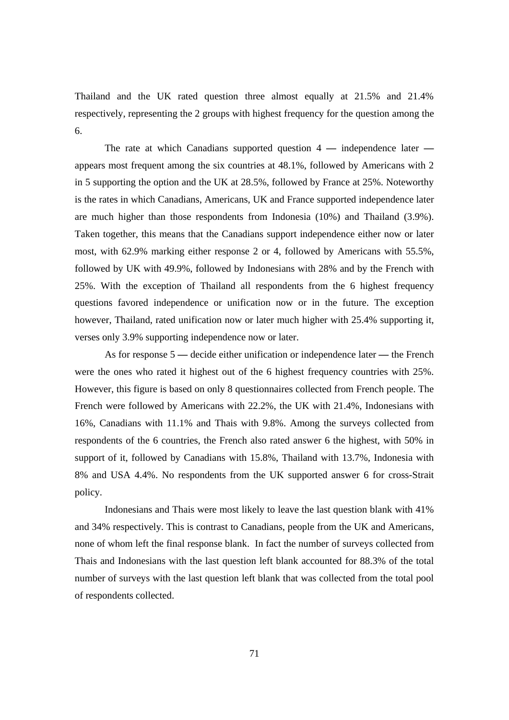Thailand and the UK rated question three almost equally at 21.5% and 21.4% respectively, representing the 2 groups with highest frequency for the question among the 6.

The rate at which Canadians supported question 4 **—** independence later  appears most frequent among the six countries at 48.1%, followed by Americans with 2 in 5 supporting the option and the UK at 28.5%, followed by France at 25%. Noteworthy is the rates in which Canadians, Americans, UK and France supported independence later are much higher than those respondents from Indonesia (10%) and Thailand (3.9%). Taken together, this means that the Canadians support independence either now or later most, with 62.9% marking either response 2 or 4, followed by Americans with 55.5%, followed by UK with 49.9%, followed by Indonesians with 28% and by the French with 25%. With the exception of Thailand all respondents from the 6 highest frequency questions favored independence or unification now or in the future. The exception however, Thailand, rated unification now or later much higher with 25.4% supporting it, verses only 3.9% supporting independence now or later.

As for response 5 **—** decide either unification or independence later **—** the French were the ones who rated it highest out of the 6 highest frequency countries with 25%. However, this figure is based on only 8 questionnaires collected from French people. The French were followed by Americans with 22.2%, the UK with 21.4%, Indonesians with 16%, Canadians with 11.1% and Thais with 9.8%. Among the surveys collected from respondents of the 6 countries, the French also rated answer 6 the highest, with 50% in support of it, followed by Canadians with 15.8%, Thailand with 13.7%, Indonesia with 8% and USA 4.4%. No respondents from the UK supported answer 6 for cross-Strait policy.

Indonesians and Thais were most likely to leave the last question blank with 41% and 34% respectively. This is contrast to Canadians, people from the UK and Americans, none of whom left the final response blank. In fact the number of surveys collected from Thais and Indonesians with the last question left blank accounted for 88.3% of the total number of surveys with the last question left blank that was collected from the total pool of respondents collected.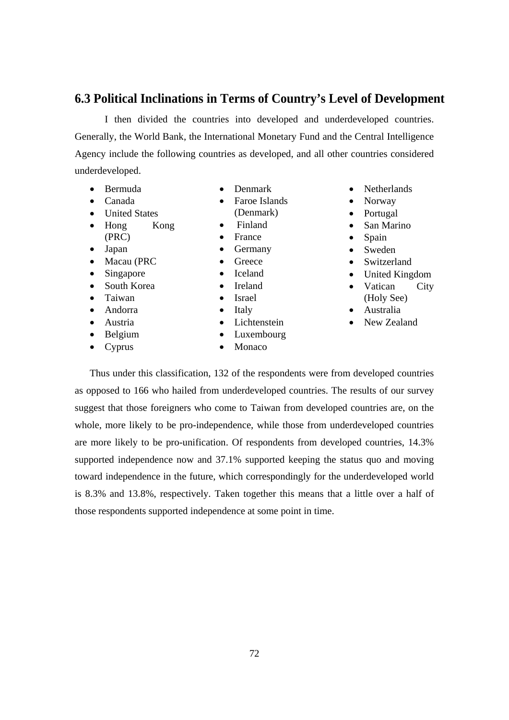#### **6.3 Political Inclinations in Terms of Country's Level of Development**

I then divided the countries into developed and underdeveloped countries. Generally, the World Bank, the International Monetary Fund and the Central Intelligence Agency include the following countries as developed, and all other countries considered underdeveloped.

> • Denmark • Faroe Islands (Denmark)

• Finland

- Bermuda
- Canada
- United States
- Hong Kong
- (PRC)
- Japan
- Macau (PRC
- Singapore
- South Korea
- Taiwan
- Andorra
- Austria
- Belgium • Cyprus
- France • Germany
	- Greece
	- Iceland
	- Ireland
	- Israel
	- Italy
	- Lichtenstein
	- Luxembourg
	- Monaco
- Netherlands
- Norway
- Portugal
- San Marino
- Spain
- Sweden
- Switzerland
- United Kingdom
- Vatican City
- (Holy See)
- Australia
- New Zealand

Thus under this classification, 132 of the respondents were from developed countries as opposed to 166 who hailed from underdeveloped countries. The results of our survey suggest that those foreigners who come to Taiwan from developed countries are, on the whole, more likely to be pro-independence, while those from underdeveloped countries are more likely to be pro-unification. Of respondents from developed countries, 14.3% supported independence now and 37.1% supported keeping the status quo and moving toward independence in the future, which correspondingly for the underdeveloped world is 8.3% and 13.8%, respectively. Taken together this means that a little over a half of those respondents supported independence at some point in time.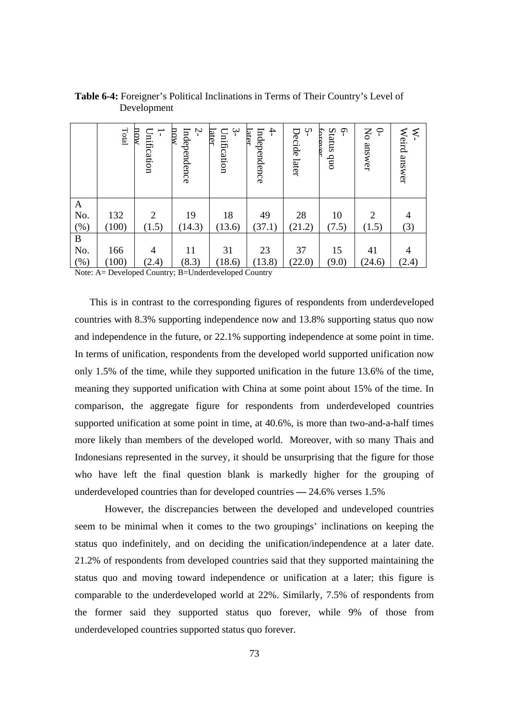|              | Total | now<br>Unification<br>$\overline{\phantom{a}}$ | Ņ<br>now<br>Independence | $\dot{\mathbf{r}}$<br>Unification<br>later | $\ddot{}$<br>Independence<br>ater | ٻ.<br>Decide later | Status quo<br>ႁ<br>forever | $\Theta$<br>No answer | ⋞<br>Weird answer |
|--------------|-------|------------------------------------------------|--------------------------|--------------------------------------------|-----------------------------------|--------------------|----------------------------|-----------------------|-------------------|
| $\mathbf{A}$ |       |                                                |                          |                                            |                                   |                    |                            |                       |                   |
| No.          | 132   | 2                                              | 19                       | 18                                         | 49                                | 28                 | 10                         | $\overline{2}$        | $\overline{4}$    |
| (% )         | (100) | (1.5)                                          | (14.3)                   | (13.6)                                     | (37.1)                            | (21.2)             | (7.5)                      | (1.5)                 | (3)               |
| $\, {\bf B}$ |       |                                                |                          |                                            |                                   |                    |                            |                       |                   |
| No.          | 166   | $\overline{4}$                                 | 11                       | 31                                         | 23                                | 37                 | 15                         | 41                    | $\overline{4}$    |
| (%)          | (100) | (2.4)                                          | (8.3)                    | (18.6)                                     | (13.8)                            | (22.0)             | (9.0)                      | (24.6)                | (2.4)             |

**Table 6-4:** Foreigner's Political Inclinations in Terms of Their Country's Level of Development

Note: A= Developed Country; B=Underdeveloped Country

This is in contrast to the corresponding figures of respondents from underdeveloped countries with 8.3% supporting independence now and 13.8% supporting status quo now and independence in the future, or 22.1% supporting independence at some point in time. In terms of unification, respondents from the developed world supported unification now only 1.5% of the time, while they supported unification in the future 13.6% of the time, meaning they supported unification with China at some point about 15% of the time. In comparison, the aggregate figure for respondents from underdeveloped countries supported unification at some point in time, at 40.6%, is more than two-and-a-half times more likely than members of the developed world. Moreover, with so many Thais and Indonesians represented in the survey, it should be unsurprising that the figure for those who have left the final question blank is markedly higher for the grouping of underdeveloped countries than for developed countries **—** 24.6% verses 1.5%

 However, the discrepancies between the developed and undeveloped countries seem to be minimal when it comes to the two groupings' inclinations on keeping the status quo indefinitely, and on deciding the unification/independence at a later date. 21.2% of respondents from developed countries said that they supported maintaining the status quo and moving toward independence or unification at a later; this figure is comparable to the underdeveloped world at 22%. Similarly, 7.5% of respondents from the former said they supported status quo forever, while 9% of those from underdeveloped countries supported status quo forever.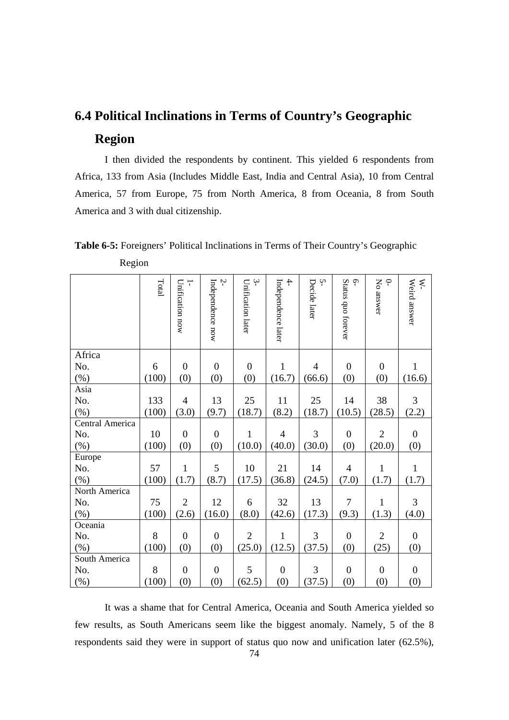## **6.4 Political Inclinations in Terms of Country's Geographic Region**

 I then divided the respondents by continent. This yielded 6 respondents from Africa, 133 from Asia (Includes Middle East, India and Central Asia), 10 from Central America, 57 from Europe, 75 from North America, 8 from Oceania, 8 from South America and 3 with dual citizenship.

 Region Total 1- 2- 3- 4- بہ م 0- W-

**Table 6-5:** Foreigners' Political Inclinations in Terms of Their Country's Geographic

|                 | Total | $\overline{1}$<br>Unification now | Ņ<br>Independence now | $\mathfrak{P}$<br>Unification later | $\overline{4}$<br>Independence later | Ņ<br>Decide later | $\tilde{\mathcal{L}}$<br>Status quo forever | $\varphi$<br>No answer | Weird answer<br>$\tilde{\mathbf{z}}$ |
|-----------------|-------|-----------------------------------|-----------------------|-------------------------------------|--------------------------------------|-------------------|---------------------------------------------|------------------------|--------------------------------------|
| Africa          |       |                                   |                       |                                     |                                      |                   |                                             |                        |                                      |
| No.             | 6     | $\boldsymbol{0}$                  | $\mathbf{0}$          | $\overline{0}$                      | $\mathbf{1}$                         | $\overline{4}$    | $\overline{0}$                              | $\boldsymbol{0}$       | $\mathbf{1}$                         |
| $(\% )$         | (100) | (0)                               | (0)                   | (0)                                 | (16.7)                               | (66.6)            | (0)                                         | (0)                    | (16.6)                               |
| Asia            |       |                                   |                       |                                     |                                      |                   |                                             |                        |                                      |
| No.             | 133   | $\overline{4}$                    | 13                    | 25                                  | 11                                   | 25                | 14                                          | 38                     | $\overline{3}$                       |
| (%)             | (100) | (3.0)                             | (9.7)                 | (18.7)                              | (8.2)                                | (18.7)            | (10.5)                                      | (28.5)                 | (2.2)                                |
| Central America |       |                                   |                       |                                     |                                      |                   |                                             |                        |                                      |
| No.             | 10    | $\boldsymbol{0}$                  | $\mathbf{0}$          | $\mathbf{1}$                        | $\overline{4}$                       | $\overline{3}$    | $\mathbf{0}$                                | $\overline{2}$         | $\overline{0}$                       |
| $(\% )$         | (100) | (0)                               | (0)                   | (10.0)                              | (40.0)                               | (30.0)            | (0)                                         | (20.0)                 | (0)                                  |
| Europe          |       |                                   |                       |                                     |                                      |                   |                                             |                        |                                      |
| No.             | 57    | $\mathbf{1}$                      | 5                     | 10                                  | 21                                   | 14                | $\overline{4}$                              | $\mathbf{1}$           | $\mathbf{1}$                         |
| (%)             | (100) | (1.7)                             | (8.7)                 | (17.5)                              | (36.8)                               | (24.5)            | (7.0)                                       | (1.7)                  | (1.7)                                |
| North America   |       |                                   |                       |                                     |                                      |                   |                                             |                        |                                      |
| No.             | 75    | $\overline{2}$                    | 12                    | 6                                   | 32                                   | 13                | $\overline{7}$                              | $\mathbf{1}$           | 3                                    |
| $(\% )$         | (100) | (2.6)                             | (16.0)                | (8.0)                               | (42.6)                               | (17.3)            | (9.3)                                       | (1.3)                  | (4.0)                                |
| Oceania         |       |                                   |                       |                                     |                                      |                   |                                             |                        |                                      |
| No.             | 8     | $\overline{0}$                    | $\overline{0}$        | $\overline{2}$                      | $\mathbf{1}$                         | $\overline{3}$    | $\mathbf{0}$                                | $\overline{2}$         | $\overline{0}$                       |
| $(\% )$         | (100) | (0)                               | (0)                   | (25.0)                              | (12.5)                               | (37.5)            | (0)                                         | (25)                   | (0)                                  |
| South America   |       |                                   |                       |                                     |                                      |                   |                                             |                        |                                      |
| No.             | 8     | $\boldsymbol{0}$                  | $\overline{0}$        | 5                                   | $\boldsymbol{0}$                     | $\overline{3}$    | $\boldsymbol{0}$                            | $\boldsymbol{0}$       | $\boldsymbol{0}$                     |
| (%)             | (100) | (0)                               | (0)                   | (62.5)                              | (0)                                  | (37.5)            | (0)                                         | (0)                    | (0)                                  |

It was a shame that for Central America, Oceania and South America yielded so few results, as South Americans seem like the biggest anomaly. Namely, 5 of the 8 respondents said they were in support of status quo now and unification later (62.5%),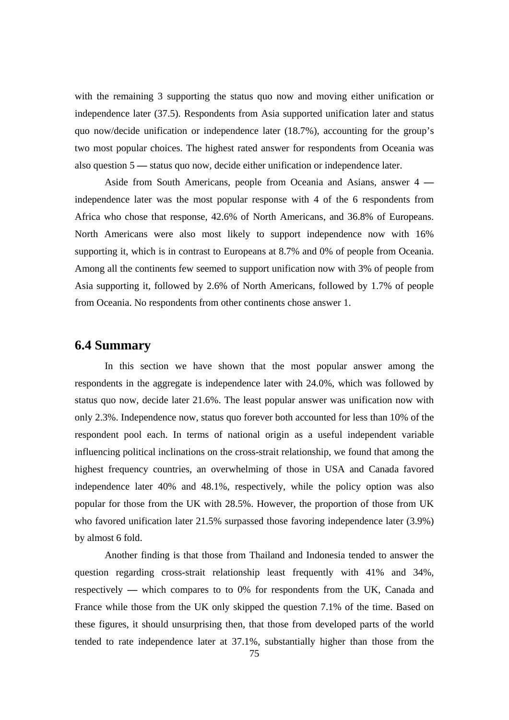with the remaining 3 supporting the status quo now and moving either unification or independence later (37.5). Respondents from Asia supported unification later and status quo now/decide unification or independence later (18.7%), accounting for the group's two most popular choices. The highest rated answer for respondents from Oceania was also question 5 **—** status quo now, decide either unification or independence later.

 Aside from South Americans, people from Oceania and Asians, answer 4  independence later was the most popular response with 4 of the 6 respondents from Africa who chose that response, 42.6% of North Americans, and 36.8% of Europeans. North Americans were also most likely to support independence now with 16% supporting it, which is in contrast to Europeans at 8.7% and 0% of people from Oceania. Among all the continents few seemed to support unification now with 3% of people from Asia supporting it, followed by 2.6% of North Americans, followed by 1.7% of people from Oceania. No respondents from other continents chose answer 1.

### **6.4 Summary**

In this section we have shown that the most popular answer among the respondents in the aggregate is independence later with 24.0%, which was followed by status quo now, decide later 21.6%. The least popular answer was unification now with only 2.3%. Independence now, status quo forever both accounted for less than 10% of the respondent pool each. In terms of national origin as a useful independent variable influencing political inclinations on the cross-strait relationship, we found that among the highest frequency countries, an overwhelming of those in USA and Canada favored independence later 40% and 48.1%, respectively, while the policy option was also popular for those from the UK with 28.5%. However, the proportion of those from UK who favored unification later 21.5% surpassed those favoring independence later (3.9%) by almost 6 fold.

Another finding is that those from Thailand and Indonesia tended to answer the question regarding cross-strait relationship least frequently with 41% and 34%, respectively **—** which compares to to 0% for respondents from the UK, Canada and France while those from the UK only skipped the question 7.1% of the time. Based on these figures, it should unsurprising then, that those from developed parts of the world tended to rate independence later at 37.1%, substantially higher than those from the